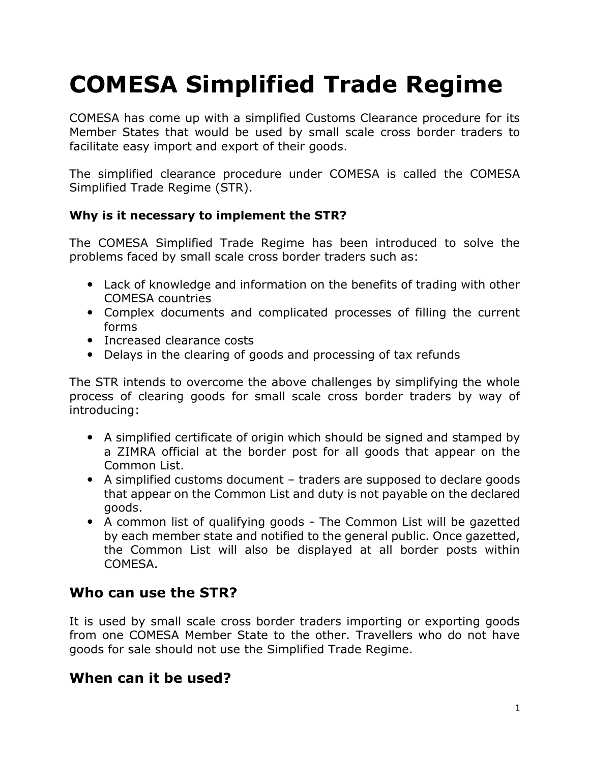# **COMESA Simplified Trade Regime**

COMESA has come up with a simplified Customs Clearance procedure for its Member States that would be used by small scale cross border traders to facilitate easy import and export of their goods.

The simplified clearance procedure under COMESA is called the COMESA Simplified Trade Regime (STR).

#### **Why is it necessary to implement the STR?**

The COMESA Simplified Trade Regime has been introduced to solve the problems faced by small scale cross border traders such as:

- Lack of knowledge and information on the benefits of trading with other COMESA countries
- Complex documents and complicated processes of filling the current forms
- Increased clearance costs
- Delays in the clearing of goods and processing of tax refunds

The STR intends to overcome the above challenges by simplifying the whole process of clearing goods for small scale cross border traders by way of introducing:

- A simplified certificate of origin which should be signed and stamped by a ZIMRA official at the border post for all goods that appear on the Common List.
- A simplified customs document traders are supposed to declare goods that appear on the Common List and duty is not payable on the declared goods.
- A common list of qualifying goods The Common List will be gazetted by each member state and notified to the general public. Once gazetted, the Common List will also be displayed at all border posts within COMESA.

### **Who can use the STR?**

It is used by small scale cross border traders importing or exporting goods from one COMESA Member State to the other. Travellers who do not have goods for sale should not use the Simplified Trade Regime.

#### **When can it be used?**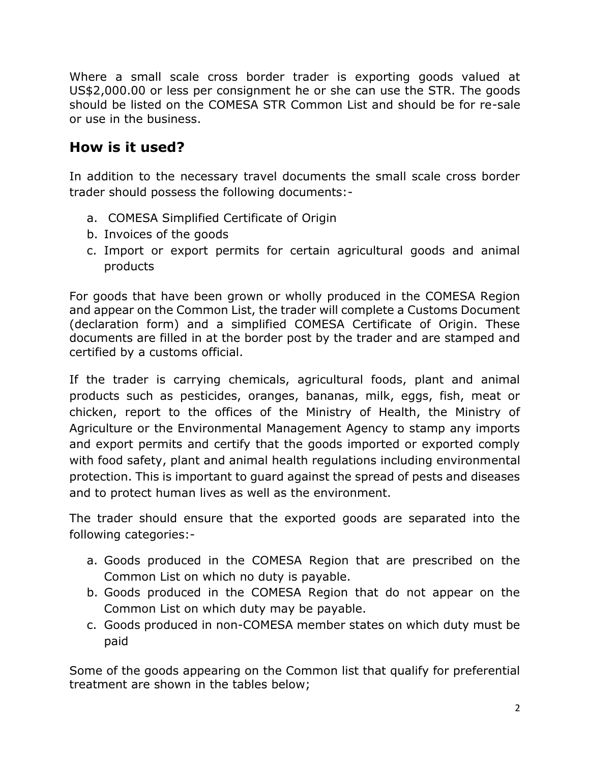Where a small scale cross border trader is exporting goods valued at US\$2,000.00 or less per consignment he or she can use the STR. The goods should be listed on the COMESA STR Common List and should be for re-sale or use in the business.

# **How is it used?**

In addition to the necessary travel documents the small scale cross border trader should possess the following documents:-

- a. COMESA Simplified Certificate of Origin
- b. Invoices of the goods
- c. Import or export permits for certain agricultural goods and animal products

For goods that have been grown or wholly produced in the COMESA Region and appear on the Common List, the trader will complete a Customs Document (declaration form) and a simplified COMESA Certificate of Origin. These documents are filled in at the border post by the trader and are stamped and certified by a customs official.

If the trader is carrying chemicals, agricultural foods, plant and animal products such as pesticides, oranges, bananas, milk, eggs, fish, meat or chicken, report to the offices of the Ministry of Health, the Ministry of Agriculture or the Environmental Management Agency to stamp any imports and export permits and certify that the goods imported or exported comply with food safety, plant and animal health regulations including environmental protection. This is important to guard against the spread of pests and diseases and to protect human lives as well as the environment.

The trader should ensure that the exported goods are separated into the following categories:-

- a. Goods produced in the COMESA Region that are prescribed on the Common List on which no duty is payable.
- b. Goods produced in the COMESA Region that do not appear on the Common List on which duty may be payable.
- c. Goods produced in non-COMESA member states on which duty must be paid

Some of the goods appearing on the Common list that qualify for preferential treatment are shown in the tables below;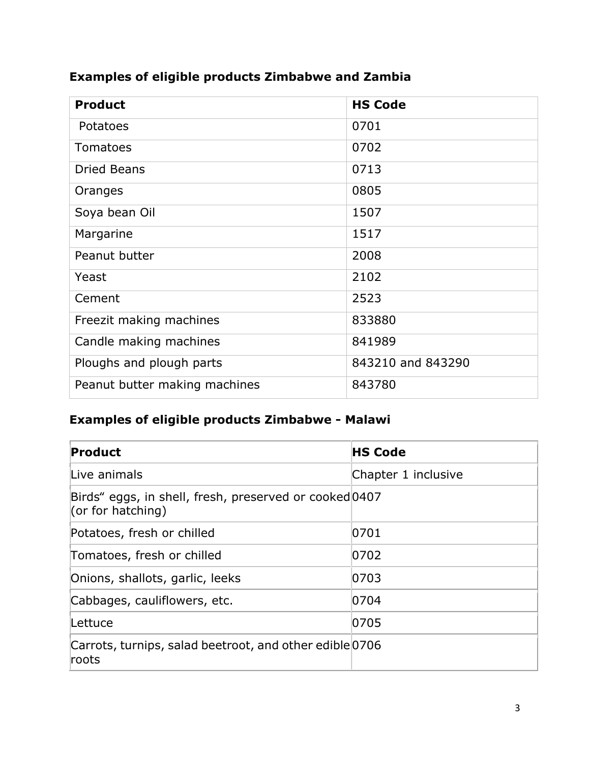## **Examples of eligible products Zimbabwe and Zambia**

| <b>Product</b>                | <b>HS Code</b>    |
|-------------------------------|-------------------|
| Potatoes                      | 0701              |
| Tomatoes                      | 0702              |
| <b>Dried Beans</b>            | 0713              |
| Oranges                       | 0805              |
| Soya bean Oil                 | 1507              |
| Margarine                     | 1517              |
| Peanut butter                 | 2008              |
| Yeast                         | 2102              |
| Cement                        | 2523              |
| Freezit making machines       | 833880            |
| Candle making machines        | 841989            |
| Ploughs and plough parts      | 843210 and 843290 |
| Peanut butter making machines | 843780            |

# **Examples of eligible products Zimbabwe - Malawi**

| Product                                                                     | <b>HS Code</b>      |
|-----------------------------------------------------------------------------|---------------------|
| Live animals                                                                | Chapter 1 inclusive |
| Birds" eggs, in shell, fresh, preserved or cooked 0407<br>(or for hatching) |                     |
| Potatoes, fresh or chilled                                                  | 0701                |
| Tomatoes, fresh or chilled                                                  | 0702                |
| Onions, shallots, garlic, leeks                                             | 0703                |
| Cabbages, cauliflowers, etc.                                                | 0704                |
| Lettuce                                                                     | 0705                |
| Carrots, turnips, salad beetroot, and other edible 0706<br>roots            |                     |